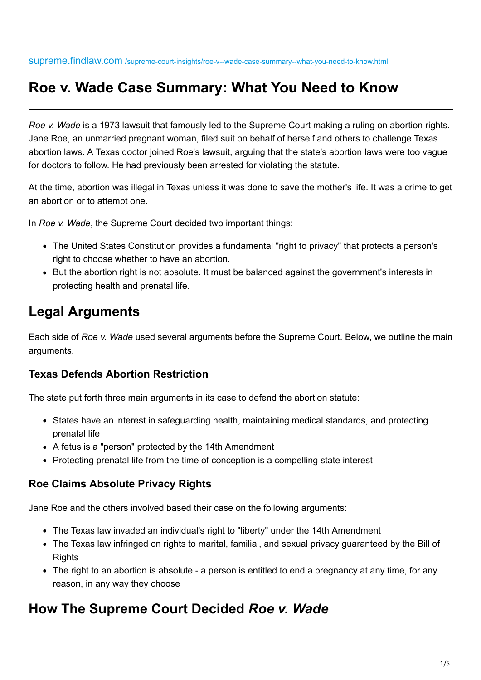# **Roe v. Wade Case Summary: What You Need to Know**

*Roe v. Wade* is a 1973 lawsuit that famously led to the Supreme Court making a ruling on abortion rights. Jane Roe, an unmarried pregnant woman, filed suit on behalf of herself and others to challenge Texas abortion laws. A Texas doctor joined Roe's lawsuit, arguing that the state's abortion laws were too vague for doctors to follow. He had previously been arrested for violating the statute.

At the time, abortion was illegal in Texas unless it was done to save the mother's life. It was a crime to get an abortion or to attempt one.

In *Roe v. Wade*, the Supreme Court decided two important things:

- The United States Constitution provides a fundamental "right to privacy" that protects a person's right to choose whether to have an abortion.
- But the abortion right is not absolute. It must be balanced against the government's interests in protecting health and prenatal life.

### **Legal Arguments**

Each side of *Roe v. Wade* used several arguments before the Supreme Court. Below, we outline the main arguments.

#### **Texas Defends Abortion Restriction**

The state put forth three main arguments in its case to defend the abortion statute:

- States have an interest in safeguarding health, maintaining medical standards, and protecting prenatal life
- A fetus is a "person" protected by the 14th Amendment
- Protecting prenatal life from the time of conception is a compelling state interest

#### **Roe Claims Absolute Privacy Rights**

Jane Roe and the others involved based their case on the following arguments:

- The Texas law invaded an individual's right to "liberty" under the 14th Amendment
- The Texas law infringed on rights to marital, familial, and sexual privacy guaranteed by the Bill of **Rights**
- The right to an abortion is absolute a person is entitled to end a pregnancy at any time, for any reason, in any way they choose

### **How The Supreme Court Decided** *Roe v. Wade*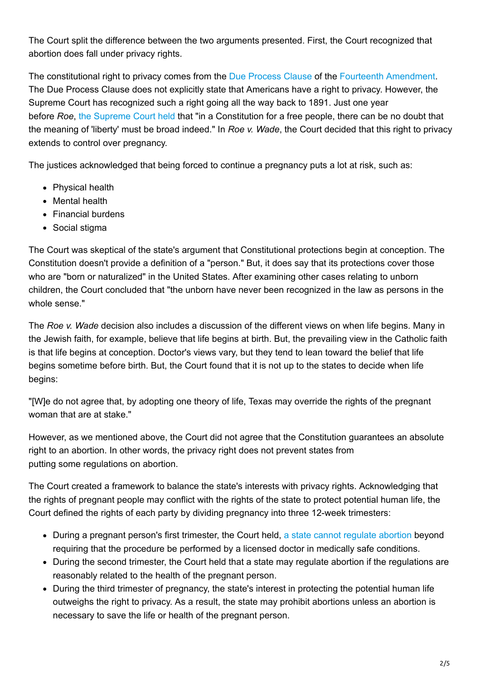The Court split the difference between the two arguments presented. First, the Court recognized that abortion does fall under privacy rights.

The constitutional right to privacy comes from the [Due Process Clause](https://constitution.findlaw.com/amendment14/annotation03.html) of the [Fourteenth Amendment.](https://constitution.findlaw.com/amendment14.html) The Due Process Clause does not explicitly state that Americans have a right to privacy. However, the Supreme Court has recognized such a right going all the way back to 1891. Just one year before *Roe*, [the Supreme Court held](https://caselaw.findlaw.com/us-supreme-court/408/564.html) that "in a Constitution for a free people, there can be no doubt that the meaning of 'liberty' must be broad indeed." In *Roe v. Wade*, the Court decided that this right to privacy extends to control over pregnancy.

The justices acknowledged that being forced to continue a pregnancy puts a lot at risk, such as:

- Physical health
- Mental health
- Financial burdens
- Social stigma

The Court was skeptical of the state's argument that Constitutional protections begin at conception. The Constitution doesn't provide a definition of a "person." But, it does say that its protections cover those who are "born or naturalized" in the United States. After examining other cases relating to unborn children, the Court concluded that "the unborn have never been recognized in the law as persons in the whole sense."

The *Roe v. Wade* decision also includes a discussion of the different views on when life begins. Many in the Jewish faith, for example, believe that life begins at birth. But, the prevailing view in the Catholic faith is that life begins at conception. Doctor's views vary, but they tend to lean toward the belief that life begins sometime before birth. But, the Court found that it is not up to the states to decide when life begins:

"[W]e do not agree that, by adopting one theory of life, Texas may override the rights of the pregnant woman that are at stake."

However, as we mentioned above, the Court did not agree that the Constitution guarantees an absolute right to an abortion. In other words, the privacy right does not prevent states from putting some regulations on abortion.

The Court created a framework to balance the state's interests with privacy rights. Acknowledging that the rights of pregnant people may conflict with the rights of the state to protect potential human life, the Court defined the rights of each party by dividing pregnancy into three 12-week trimesters:

- During a pregnant person's first trimester, the Court held, [a state cannot regulate abortion](https://www.findlaw.com/state/family-laws/details-on-state-abortion-laws.html) beyond requiring that the procedure be performed by a licensed doctor in medically safe conditions.
- During the second trimester, the Court held that a state may regulate abortion if the regulations are reasonably related to the health of the pregnant person.
- During the third trimester of pregnancy, the state's interest in protecting the potential human life outweighs the right to privacy. As a result, the state may prohibit abortions unless an abortion is necessary to save the life or health of the pregnant person.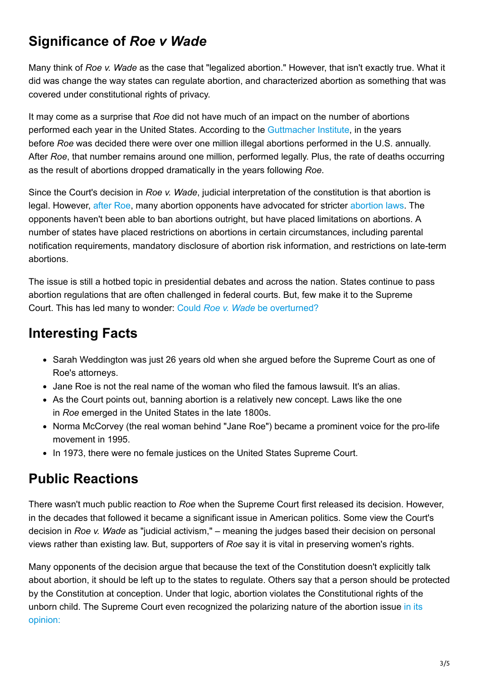## **Significance of** *Roe v Wade*

Many think of *Roe v. Wade* as the case that "legalized abortion." However, that isn't exactly true. What it did was change the way states can regulate abortion, and characterized abortion as something that was covered under constitutional rights of privacy.

It may come as a surprise that *Roe* did not have much of an impact on the number of abortions performed each year in the United States. According to the [Guttmacher Institute](https://www.guttmacher.org/gpr/2003/03/lessons-roe-will-past-be-prologue), in the years before *Roe* was decided there were over one million illegal abortions performed in the U.S. annually. After *Roe*, that number remains around one million, performed legally. Plus, the rate of deaths occurring as the result of abortions dropped dramatically in the years following *Roe*.

Since the Court's decision in *Roe v. Wade*, judicial interpretation of the constitution is that abortion is legal. However, [after Roe,](https://www.findlaw.com/family/reproductive-rights/after-roe-v-wade.html) many abortion opponents have advocated for stricter [abortion laws](https://www.findlaw.com/family/reproductive-rights/abortion-laws.html). The opponents haven't been able to ban abortions outright, but have placed limitations on abortions. A number of states have placed restrictions on abortions in certain circumstances, including parental notification requirements, mandatory disclosure of abortion risk information, and restrictions on late-term abortions.

The issue is still a hotbed topic in presidential debates and across the nation. States continue to pass abortion regulations that are often challenged in federal courts. But, few make it to the Supreme Court. This has led many to wonder: Could *Roe v. Wade* [be overturned?](https://supreme.findlaw.com/supreme-court-insights/could-roe-v--wade-be-overturned-.html)

## **Interesting Facts**

- Sarah Weddington was just 26 years old when she argued before the Supreme Court as one of Roe's attorneys.
- Jane Roe is not the real name of the woman who filed the famous lawsuit. It's an alias.
- As the Court points out, banning abortion is a relatively new concept. Laws like the one in *Roe* emerged in the United States in the late 1800s.
- Norma McCorvey (the real woman behind "Jane Roe") became a prominent voice for the pro-life movement in 1995.
- In 1973, there were no female justices on the United States Supreme Court.

# **Public Reactions**

There wasn't much public reaction to *Roe* when the Supreme Court first released its decision. However, in the decades that followed it became a significant issue in American politics. Some view the Court's decision in *Roe v. Wade* as "judicial activism," – meaning the judges based their decision on personal views rather than existing law. But, supporters of *Roe* say it is vital in preserving women's rights.

Many opponents of the decision argue that because the text of the Constitution doesn't explicitly talk about abortion, it should be left up to the states to regulate. Others say that a person should be protected by the Constitution at conception. Under that logic, abortion violates the Constitutional rights of the [unborn child. The Supreme Court even recognized the polarizing nature of the abortion issue in its](https://caselaw.findlaw.com/us-supreme-court/410/113.html) opinion: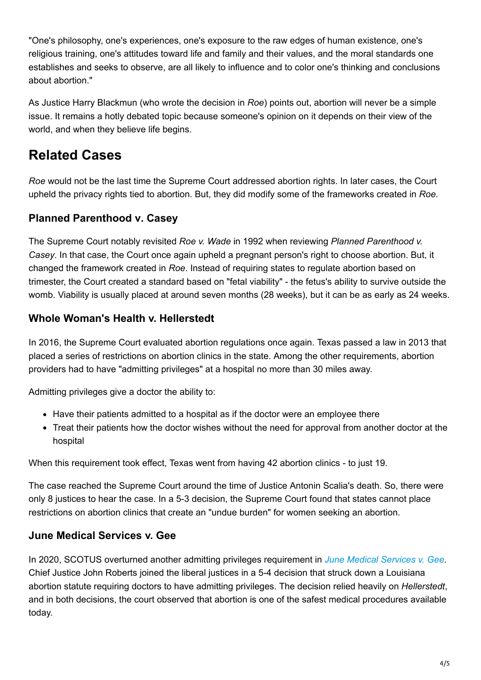"One's philosophy, one's experiences, one's exposure to the raw edges of human existence, one's religious training, one's attitudes toward life and family and their values, and the moral standards one establishes and seeks to observe, are all likely to influence and to color one's thinking and conclusions about abortion."

As Justice Harry Blackmun (who wrote the decision in *Roe*) points out, abortion will never be a simple issue. It remains a hotly debated topic because someone's opinion on it depends on their view of the world, and when they believe life begins.

# **Related Cases**

*Roe* would not be the last time the Supreme Court addressed abortion rights. In later cases, the Court upheld the privacy rights tied to abortion. But, they did modify some of the frameworks created in *Roe*.

#### **Planned Parenthood v. Casey**

The Supreme Court notably revisited *Roe v. Wade* in 1992 when reviewing *Planned Parenthood v. Casey*. In that case, the Court once again upheld a pregnant person's right to choose abortion. But, it changed the framework created in *Roe*. Instead of requiring states to regulate abortion based on trimester, the Court created a standard based on "fetal viability" - the fetus's ability to survive outside the womb. Viability is usually placed at around seven months (28 weeks), but it can be as early as 24 weeks.

#### **Whole Woman's Health v. Hellerstedt**

In 2016, the Supreme Court evaluated abortion regulations once again. Texas passed a law in 2013 that placed a series of restrictions on abortion clinics in the state. Among the other requirements, abortion providers had to have "admitting privileges" at a hospital no more than 30 miles away.

Admitting privileges give a doctor the ability to:

- Have their patients admitted to a hospital as if the doctor were an employee there
- Treat their patients how the doctor wishes without the need for approval from another doctor at the hospital

When this requirement took effect, Texas went from having 42 abortion clinics - to just 19.

The case reached the Supreme Court around the time of Justice Antonin Scalia's death. So, there were only 8 justices to hear the case. In a 5-3 decision, the Supreme Court found that states cannot place restrictions on abortion clinics that create an "undue burden" for women seeking an abortion.

#### **June Medical Services v. Gee**

In 2020, SCOTUS overturned another admitting privileges requirement in *[June Medical Services v. Gee](https://caselaw.findlaw.com/us-supreme-court/18-1323.html)*. Chief Justice John Roberts joined the liberal justices in a 5-4 decision that struck down a Louisiana abortion statute requiring doctors to have admitting privileges. The decision relied heavily on *Hellerstedt*, and in both decisions, the court observed that abortion is one of the safest medical procedures available today.